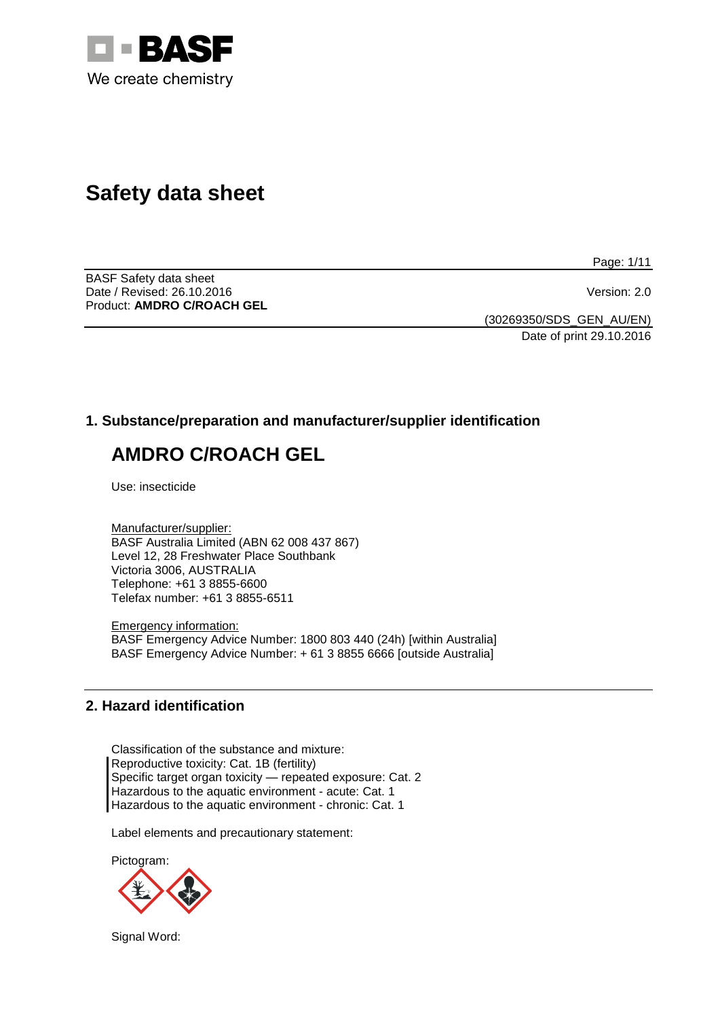

# **Safety data sheet**

Page: 1/11

BASF Safety data sheet Date / Revised: 26.10.2016 Version: 2.0 Product: **AMDRO C/ROACH GEL**

(30269350/SDS\_GEN\_AU/EN) Date of print 29.10.2016

# **1. Substance/preparation and manufacturer/supplier identification**

# **AMDRO C/ROACH GEL**

Use: insecticide

Manufacturer/supplier: BASF Australia Limited (ABN 62 008 437 867) Level 12, 28 Freshwater Place Southbank Victoria 3006, AUSTRALIA Telephone: +61 3 8855-6600 Telefax number: +61 3 8855-6511

Emergency information: BASF Emergency Advice Number: 1800 803 440 (24h) [within Australia] BASF Emergency Advice Number: + 61 3 8855 6666 [outside Australia]

# **2. Hazard identification**

Classification of the substance and mixture: Reproductive toxicity: Cat. 1B (fertility) Specific target organ toxicity — repeated exposure: Cat. 2 Hazardous to the aquatic environment - acute: Cat. 1 Hazardous to the aquatic environment - chronic: Cat. 1

Label elements and precautionary statement:

Pictogram:



Signal Word: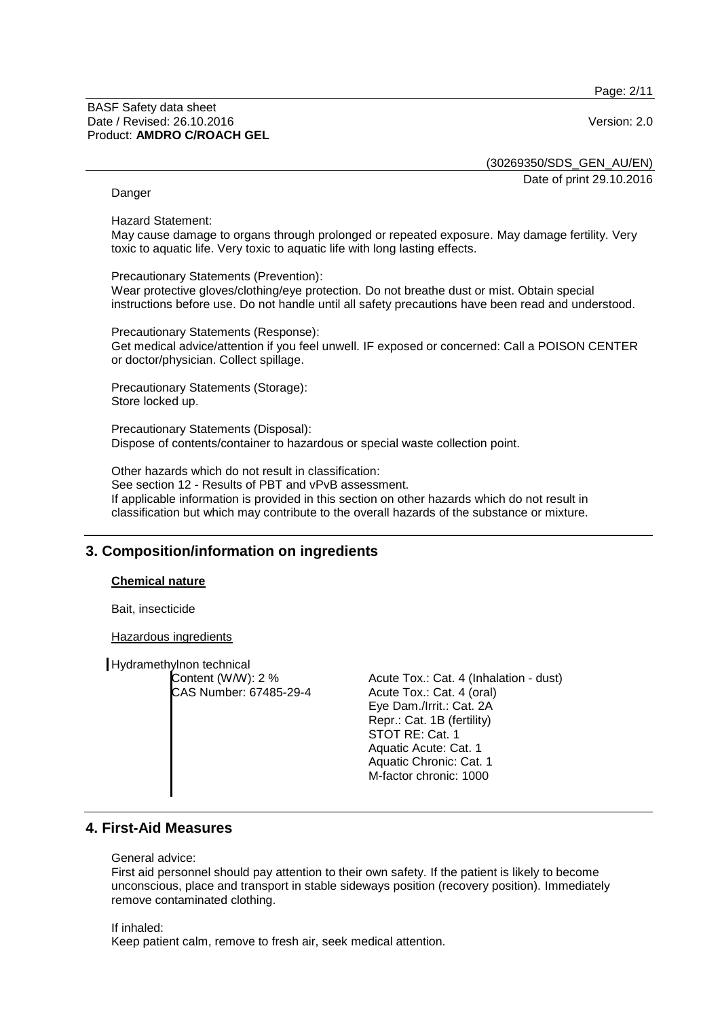Page: 2/11

(30269350/SDS\_GEN\_AU/EN)

Date of print 29.10.2016

#### Danger

Hazard Statement:

May cause damage to organs through prolonged or repeated exposure. May damage fertility. Very toxic to aquatic life. Very toxic to aquatic life with long lasting effects.

Precautionary Statements (Prevention): Wear protective gloves/clothing/eye protection. Do not breathe dust or mist. Obtain special instructions before use. Do not handle until all safety precautions have been read and understood.

Precautionary Statements (Response): Get medical advice/attention if you feel unwell. IF exposed or concerned: Call a POISON CENTER or doctor/physician. Collect spillage.

Precautionary Statements (Storage): Store locked up.

Precautionary Statements (Disposal): Dispose of contents/container to hazardous or special waste collection point.

Other hazards which do not result in classification: See section 12 - Results of PBT and vPvB assessment. If applicable information is provided in this section on other hazards which do not result in classification but which may contribute to the overall hazards of the substance or mixture.

# **3. Composition/information on ingredients**

#### **Chemical nature**

Bait, insecticide

Hazardous ingredients

Hydramethylnon technical Content (W/W): 2 % CAS Number: 67485-29-4

Acute Tox.: Cat. 4 (Inhalation - dust) Acute Tox.: Cat. 4 (oral) Eye Dam./Irrit.: Cat. 2A Repr.: Cat. 1B (fertility) STOT RE: Cat. 1 Aquatic Acute: Cat. 1 Aquatic Chronic: Cat. 1 M-factor chronic: 1000

# **4. First-Aid Measures**

General advice:

First aid personnel should pay attention to their own safety. If the patient is likely to become unconscious, place and transport in stable sideways position (recovery position). Immediately remove contaminated clothing.

If inhaled:

Keep patient calm, remove to fresh air, seek medical attention.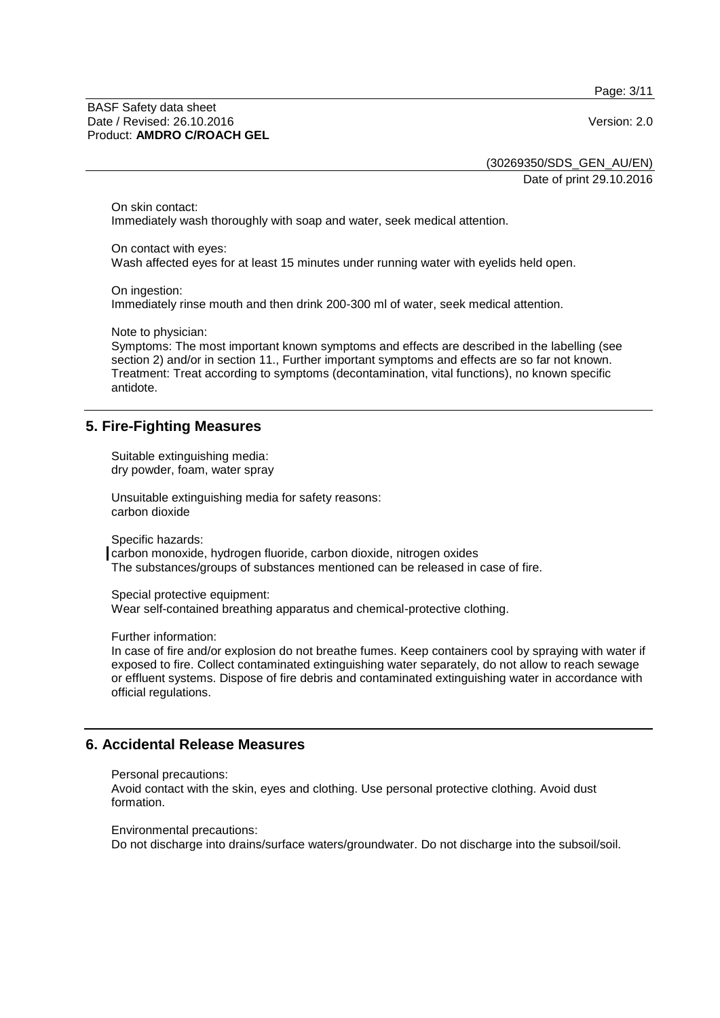Page: 3/11

BASF Safety data sheet Date / Revised: 26.10.2016 Version: 2.0 Product: **AMDRO C/ROACH GEL**

(30269350/SDS\_GEN\_AU/EN) Date of print 29.10.2016

On skin contact: Immediately wash thoroughly with soap and water, seek medical attention.

On contact with eyes:

Wash affected eyes for at least 15 minutes under running water with eyelids held open.

On ingestion:

Immediately rinse mouth and then drink 200-300 ml of water, seek medical attention.

Note to physician:

Symptoms: The most important known symptoms and effects are described in the labelling (see section 2) and/or in section 11., Further important symptoms and effects are so far not known. Treatment: Treat according to symptoms (decontamination, vital functions), no known specific antidote.

# **5. Fire-Fighting Measures**

Suitable extinguishing media: dry powder, foam, water spray

Unsuitable extinguishing media for safety reasons: carbon dioxide

Specific hazards:

carbon monoxide, hydrogen fluoride, carbon dioxide, nitrogen oxides The substances/groups of substances mentioned can be released in case of fire.

Special protective equipment: Wear self-contained breathing apparatus and chemical-protective clothing.

Further information:

In case of fire and/or explosion do not breathe fumes. Keep containers cool by spraying with water if exposed to fire. Collect contaminated extinguishing water separately, do not allow to reach sewage or effluent systems. Dispose of fire debris and contaminated extinguishing water in accordance with official regulations.

# **6. Accidental Release Measures**

```
Personal precautions:
```
Avoid contact with the skin, eyes and clothing. Use personal protective clothing. Avoid dust formation.

Environmental precautions: Do not discharge into drains/surface waters/groundwater. Do not discharge into the subsoil/soil.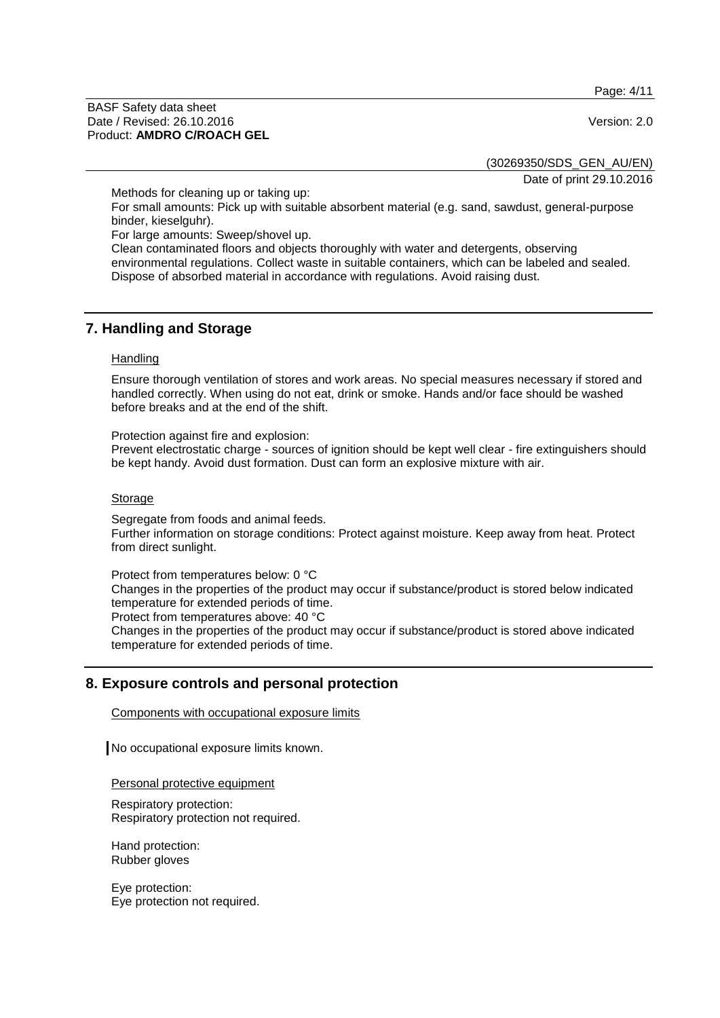Page: 4/11

BASF Safety data sheet Date / Revised: 26.10.2016 Version: 2.0 Product: **AMDRO C/ROACH GEL**

(30269350/SDS\_GEN\_AU/EN)

Date of print 29.10.2016

Methods for cleaning up or taking up:

For small amounts: Pick up with suitable absorbent material (e.g. sand, sawdust, general-purpose binder, kieselguhr).

For large amounts: Sweep/shovel up.

Clean contaminated floors and objects thoroughly with water and detergents, observing environmental regulations. Collect waste in suitable containers, which can be labeled and sealed. Dispose of absorbed material in accordance with regulations. Avoid raising dust.

### **7. Handling and Storage**

#### **Handling**

Ensure thorough ventilation of stores and work areas. No special measures necessary if stored and handled correctly. When using do not eat, drink or smoke. Hands and/or face should be washed before breaks and at the end of the shift.

Protection against fire and explosion: Prevent electrostatic charge - sources of ignition should be kept well clear - fire extinguishers should be kept handy. Avoid dust formation. Dust can form an explosive mixture with air.

#### Storage

Segregate from foods and animal feeds. Further information on storage conditions: Protect against moisture. Keep away from heat. Protect from direct sunlight.

Protect from temperatures below: 0 °C Changes in the properties of the product may occur if substance/product is stored below indicated temperature for extended periods of time. Protect from temperatures above: 40 °C

Changes in the properties of the product may occur if substance/product is stored above indicated temperature for extended periods of time.

# **8. Exposure controls and personal protection**

Components with occupational exposure limits

No occupational exposure limits known.

Personal protective equipment

Respiratory protection: Respiratory protection not required.

Hand protection: Rubber gloves

Eye protection: Eye protection not required.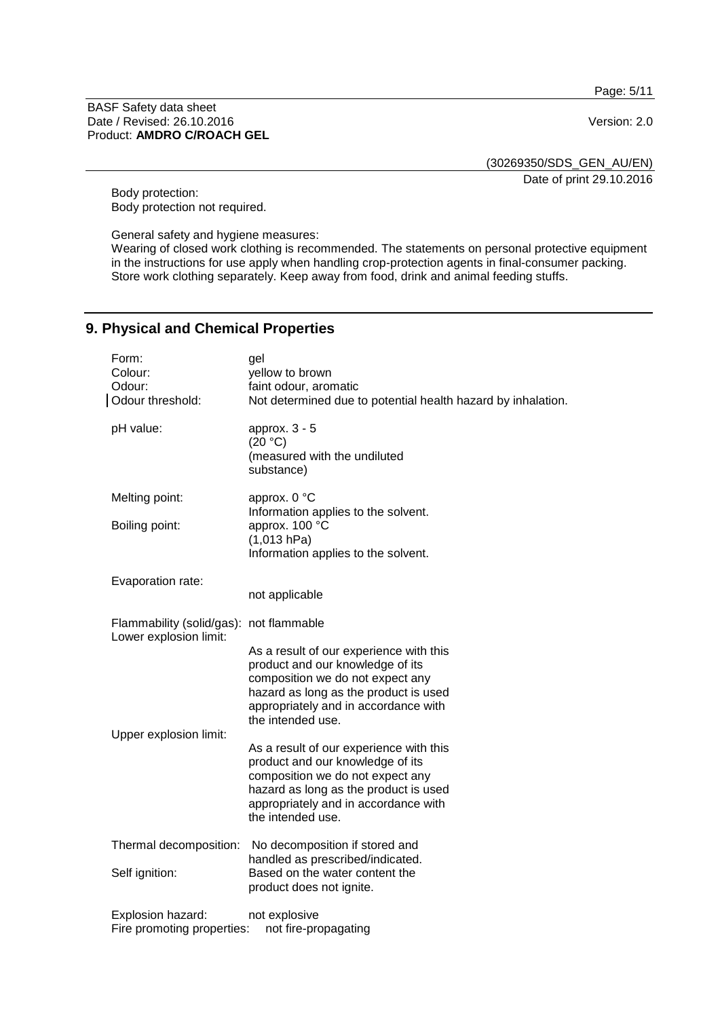Page: 5/11

#### BASF Safety data sheet Date / Revised: 26.10.2016 Version: 2.0 Product: **AMDRO C/ROACH GEL**

(30269350/SDS\_GEN\_AU/EN)

Date of print 29.10.2016

Body protection: Body protection not required.

General safety and hygiene measures:

Wearing of closed work clothing is recommended. The statements on personal protective equipment in the instructions for use apply when handling crop-protection agents in final-consumer packing. Store work clothing separately. Keep away from food, drink and animal feeding stuffs.

# **9. Physical and Chemical Properties**

| Form:<br>Colour:<br>Odour:<br>Odour threshold:                    | gel<br>yellow to brown<br>faint odour, aromatic<br>Not determined due to potential health hazard by inhalation.                                                            |
|-------------------------------------------------------------------|----------------------------------------------------------------------------------------------------------------------------------------------------------------------------|
| pH value:                                                         | approx. $3 - 5$<br>(20 °C)<br>(measured with the undiluted<br>substance)                                                                                                   |
| Melting point:<br>Boiling point:                                  | approx. 0 °C<br>Information applies to the solvent.<br>approx. 100 °C<br>(1,013 hPa)<br>Information applies to the solvent.                                                |
| Evaporation rate:                                                 | not applicable                                                                                                                                                             |
| Flammability (solid/gas): not flammable<br>Lower explosion limit: | As a result of our experience with this<br>product and our knowledge of its<br>composition we do not expect any                                                            |
| Upper explosion limit:                                            | hazard as long as the product is used<br>appropriately and in accordance with<br>the intended use.<br>As a result of our experience with this                              |
|                                                                   | product and our knowledge of its<br>composition we do not expect any<br>hazard as long as the product is used<br>appropriately and in accordance with<br>the intended use. |
| Thermal decomposition:                                            | No decomposition if stored and<br>handled as prescribed/indicated.                                                                                                         |
| Self ignition:                                                    | Based on the water content the<br>product does not ignite.                                                                                                                 |
| Explosion hazard:<br>Fire promoting properties:                   | not explosive<br>not fire-propagating                                                                                                                                      |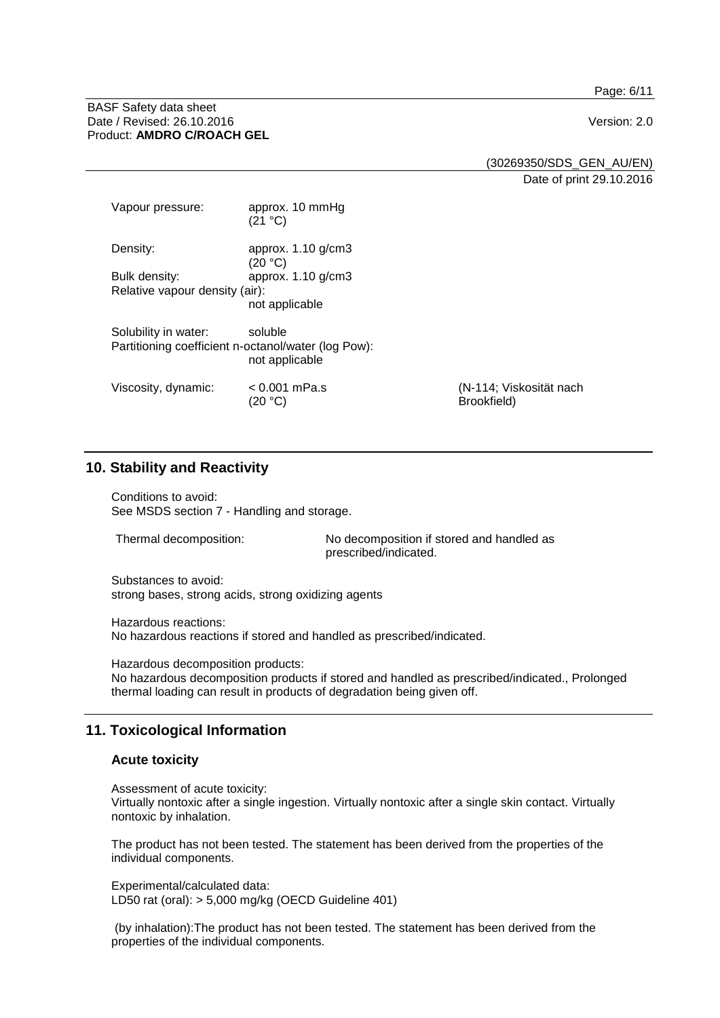Page: 6/11

#### BASF Safety data sheet Date / Revised: 26.10.2016 **Version: 2.0** Product: **AMDRO C/ROACH GEL**

(30269350/SDS\_GEN\_AU/EN) Date of print 29.10.2016

| Vapour pressure:               | approx. 10 mmHg<br>(21 °C)                                                       |                                        |  |
|--------------------------------|----------------------------------------------------------------------------------|----------------------------------------|--|
| Density:                       | approx. 1.10 g/cm3<br>(20 °C)                                                    |                                        |  |
| Bulk density:                  | approx. $1.10$ g/cm $3$                                                          |                                        |  |
| Relative vapour density (air): |                                                                                  |                                        |  |
|                                | not applicable                                                                   |                                        |  |
| Solubility in water:           | soluble<br>Partitioning coefficient n-octanol/water (log Pow):<br>not applicable |                                        |  |
| Viscosity, dynamic:            | $< 0.001$ mPa.s<br>(20 °C)                                                       | (N-114; Viskosität nach<br>Brookfield) |  |

# **10. Stability and Reactivity**

Conditions to avoid: See MSDS section 7 - Handling and storage.

Thermal decomposition: No decomposition if stored and handled as prescribed/indicated.

Substances to avoid: strong bases, strong acids, strong oxidizing agents

Hazardous reactions: No hazardous reactions if stored and handled as prescribed/indicated.

Hazardous decomposition products: No hazardous decomposition products if stored and handled as prescribed/indicated., Prolonged thermal loading can result in products of degradation being given off.

# **11. Toxicological Information**

#### **Acute toxicity**

Assessment of acute toxicity: Virtually nontoxic after a single ingestion. Virtually nontoxic after a single skin contact. Virtually nontoxic by inhalation.

The product has not been tested. The statement has been derived from the properties of the individual components.

Experimental/calculated data: LD50 rat (oral): > 5,000 mg/kg (OECD Guideline 401)

(by inhalation):The product has not been tested. The statement has been derived from the properties of the individual components.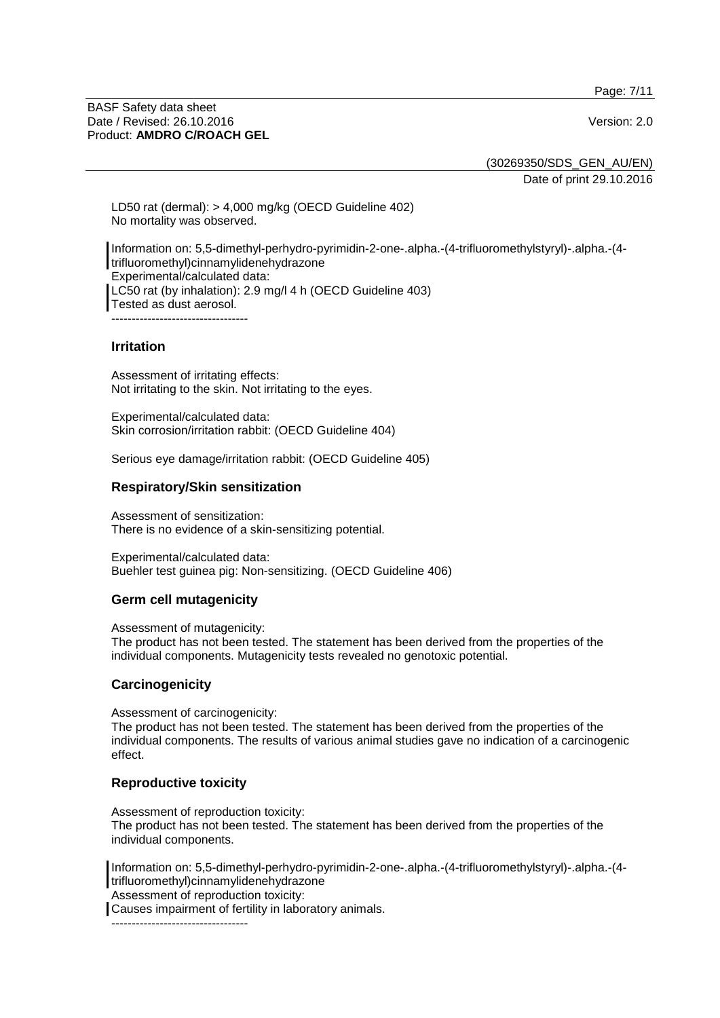Page: 7/11

BASF Safety data sheet Date / Revised: 26.10.2016 **Version: 2.0** Product: **AMDRO C/ROACH GEL**

(30269350/SDS\_GEN\_AU/EN) Date of print 29.10.2016

LD50 rat (dermal): > 4,000 mg/kg (OECD Guideline 402) No mortality was observed.

Information on: 5,5-dimethyl-perhydro-pyrimidin-2-one-.alpha.-(4-trifluoromethylstyryl)-.alpha.-(4 trifluoromethyl)cinnamylidenehydrazone Experimental/calculated data: LC50 rat (by inhalation): 2.9 mg/l 4 h (OECD Guideline 403) Tested as dust aerosol. ----------------------------------

#### **Irritation**

Assessment of irritating effects: Not irritating to the skin. Not irritating to the eyes.

Experimental/calculated data: Skin corrosion/irritation rabbit: (OECD Guideline 404)

Serious eye damage/irritation rabbit: (OECD Guideline 405)

#### **Respiratory/Skin sensitization**

Assessment of sensitization: There is no evidence of a skin-sensitizing potential.

Experimental/calculated data: Buehler test guinea pig: Non-sensitizing. (OECD Guideline 406)

#### **Germ cell mutagenicity**

Assessment of mutagenicity:

The product has not been tested. The statement has been derived from the properties of the individual components. Mutagenicity tests revealed no genotoxic potential.

#### **Carcinogenicity**

Assessment of carcinogenicity:

The product has not been tested. The statement has been derived from the properties of the individual components. The results of various animal studies gave no indication of a carcinogenic effect.

#### **Reproductive toxicity**

Assessment of reproduction toxicity: The product has not been tested. The statement has been derived from the properties of the individual components.

Information on: 5,5-dimethyl-perhydro-pyrimidin-2-one-.alpha.-(4-trifluoromethylstyryl)-.alpha.-(4 trifluoromethyl)cinnamylidenehydrazone

Assessment of reproduction toxicity:

Causes impairment of fertility in laboratory animals.

----------------------------------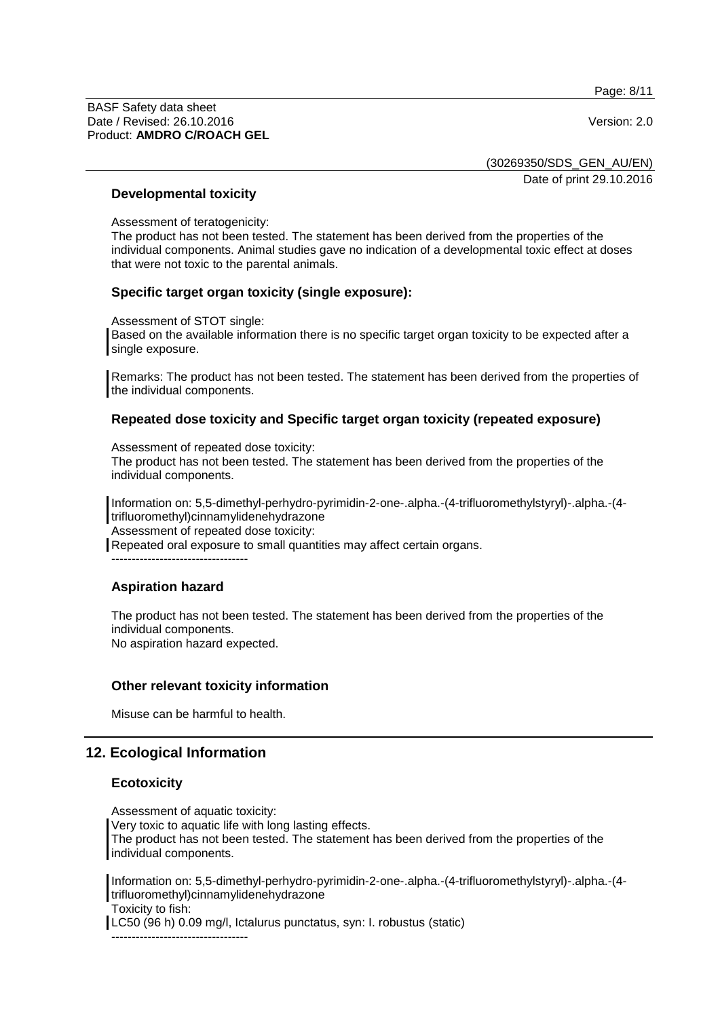Page: 8/11

BASF Safety data sheet Date / Revised: 26.10.2016 Version: 2.0 Product: **AMDRO C/ROACH GEL**

(30269350/SDS\_GEN\_AU/EN) Date of print 29.10.2016

#### **Developmental toxicity**

Assessment of teratogenicity:

The product has not been tested. The statement has been derived from the properties of the individual components. Animal studies gave no indication of a developmental toxic effect at doses that were not toxic to the parental animals.

### **Specific target organ toxicity (single exposure):**

Assessment of STOT single:

Based on the available information there is no specific target organ toxicity to be expected after a single exposure.

Remarks: The product has not been tested. The statement has been derived from the properties of the individual components.

#### **Repeated dose toxicity and Specific target organ toxicity (repeated exposure)**

Assessment of repeated dose toxicity:

The product has not been tested. The statement has been derived from the properties of the individual components.

Information on: 5,5-dimethyl-perhydro-pyrimidin-2-one-.alpha.-(4-trifluoromethylstyryl)-.alpha.-(4 trifluoromethyl)cinnamylidenehydrazone

Assessment of repeated dose toxicity:

Repeated oral exposure to small quantities may affect certain organs.

----------------------------------

#### **Aspiration hazard**

The product has not been tested. The statement has been derived from the properties of the individual components. No aspiration hazard expected.

# **Other relevant toxicity information**

Misuse can be harmful to health.

# **12. Ecological Information**

#### **Ecotoxicity**

Assessment of aquatic toxicity: Very toxic to aquatic life with long lasting effects. The product has not been tested. The statement has been derived from the properties of the individual components.

Information on: 5,5-dimethyl-perhydro-pyrimidin-2-one-.alpha.-(4-trifluoromethylstyryl)-.alpha.-(4 trifluoromethyl)cinnamylidenehydrazone Toxicity to fish: LC50 (96 h) 0.09 mg/l, Ictalurus punctatus, syn: I. robustus (static)

----------------------------------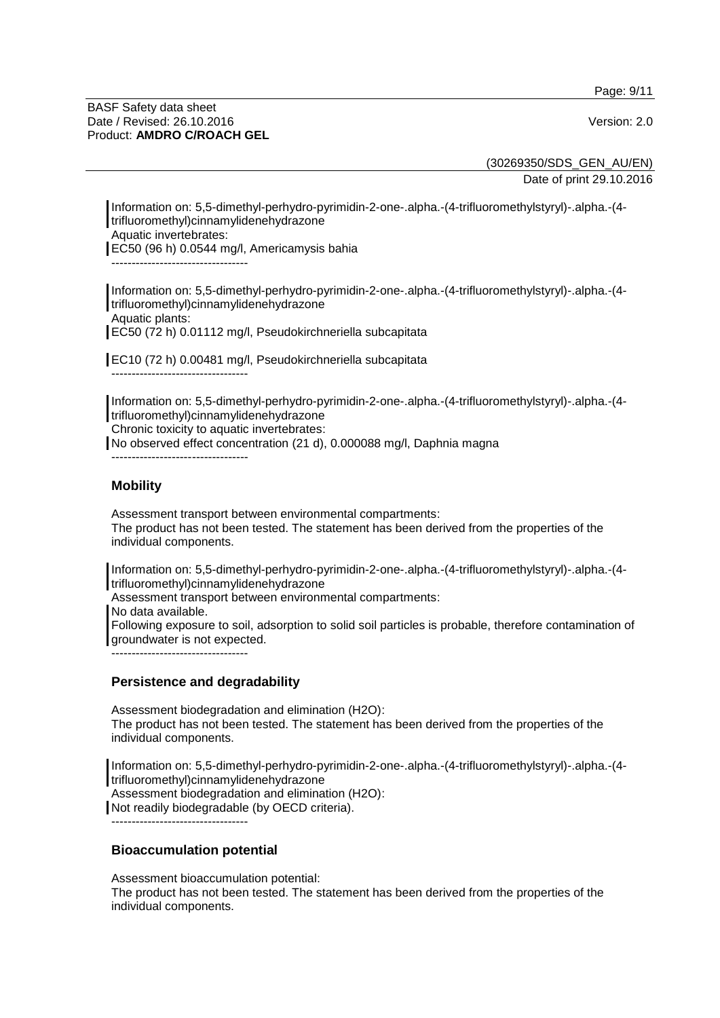Page: 9/11

#### BASF Safety data sheet Date / Revised: 26.10.2016 **Version: 2.0** Product: **AMDRO C/ROACH GEL**

(30269350/SDS\_GEN\_AU/EN) Date of print 29.10.2016

Information on: 5,5-dimethyl-perhydro-pyrimidin-2-one-.alpha.-(4-trifluoromethylstyryl)-.alpha.-(4 trifluoromethyl)cinnamylidenehydrazone Aquatic invertebrates: EC50 (96 h) 0.0544 mg/l, Americamysis bahia ----------------------------------

Information on: 5,5-dimethyl-perhydro-pyrimidin-2-one-.alpha.-(4-trifluoromethylstyryl)-.alpha.-(4 trifluoromethyl)cinnamylidenehydrazone Aquatic plants: EC50 (72 h) 0.01112 mg/l, Pseudokirchneriella subcapitata

EC10 (72 h) 0.00481 mg/l, Pseudokirchneriella subcapitata

Information on: 5,5-dimethyl-perhydro-pyrimidin-2-one-.alpha.-(4-trifluoromethylstyryl)-.alpha.-(4 trifluoromethyl)cinnamylidenehydrazone Chronic toxicity to aquatic invertebrates:

No observed effect concentration (21 d), 0.000088 mg/l, Daphnia magna

----------------------------------

----------------------------------

# **Mobility**

Assessment transport between environmental compartments: The product has not been tested. The statement has been derived from the properties of the individual components.

Information on: 5,5-dimethyl-perhydro-pyrimidin-2-one-.alpha.-(4-trifluoromethylstyryl)-.alpha.-(4 trifluoromethyl)cinnamylidenehydrazone

Assessment transport between environmental compartments:

No data available.

Following exposure to soil, adsorption to solid soil particles is probable, therefore contamination of groundwater is not expected.

----------------------------------

# **Persistence and degradability**

Assessment biodegradation and elimination (H2O): The product has not been tested. The statement has been derived from the properties of the individual components.

Information on: 5,5-dimethyl-perhydro-pyrimidin-2-one-.alpha.-(4-trifluoromethylstyryl)-.alpha.-(4 trifluoromethyl)cinnamylidenehydrazone Assessment biodegradation and elimination (H2O):

Not readily biodegradable (by OECD criteria).

----------------------------------

#### **Bioaccumulation potential**

Assessment bioaccumulation potential:

The product has not been tested. The statement has been derived from the properties of the individual components.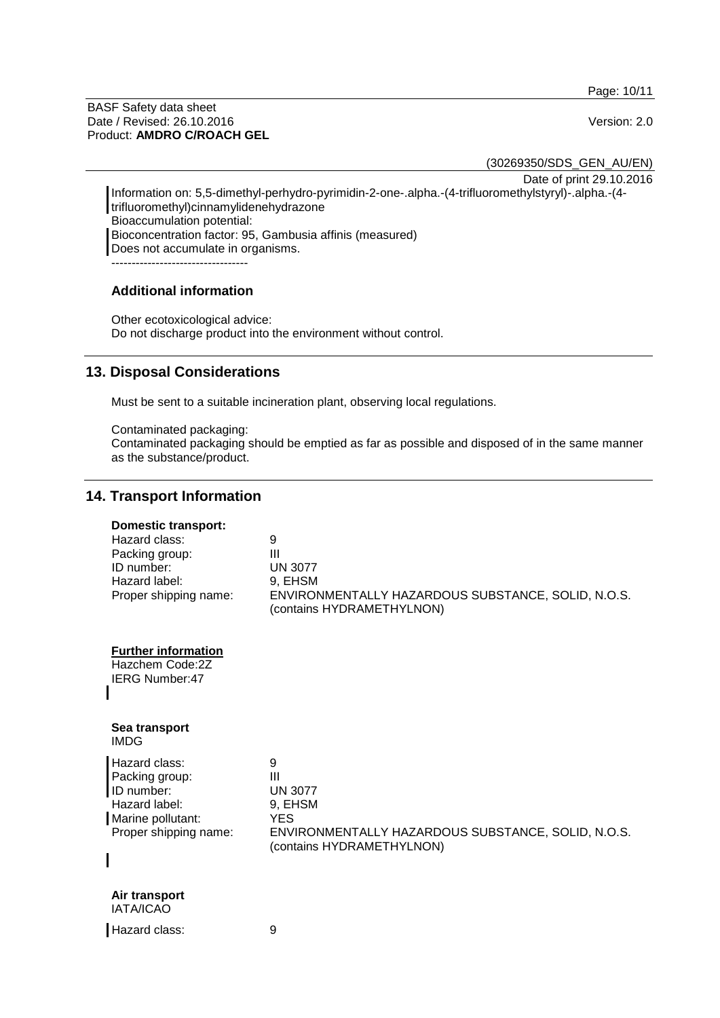Page: 10/11

BASF Safety data sheet Date / Revised: 26.10.2016 Version: 2.0 Product: **AMDRO C/ROACH GEL**

(30269350/SDS\_GEN\_AU/EN)

Date of print 29.10.2016

Information on: 5,5-dimethyl-perhydro-pyrimidin-2-one-.alpha.-(4-trifluoromethylstyryl)-.alpha.-(4 trifluoromethyl)cinnamylidenehydrazone Bioaccumulation potential: Bioconcentration factor: 95, Gambusia affinis (measured) Does not accumulate in organisms. ----------------------------------

## **Additional information**

Other ecotoxicological advice: Do not discharge product into the environment without control.

# **13. Disposal Considerations**

Must be sent to a suitable incineration plant, observing local regulations.

Contaminated packaging:

Contaminated packaging should be emptied as far as possible and disposed of in the same manner as the substance/product.

# **14. Transport Information**

| <b>Domestic transport:</b><br>Hazard class:<br>Packing group:<br>ID number:<br>Hazard label:<br>Proper shipping name: | 9<br>III<br><b>UN 3077</b><br>9, EHSM<br>ENVIRONMENTALLY HAZARDOUS SUBSTANCE, SOLID, N.O.S.<br>(contains HYDRAMETHYLNON)                          |
|-----------------------------------------------------------------------------------------------------------------------|---------------------------------------------------------------------------------------------------------------------------------------------------|
| <b>Further information</b><br>Hazchem Code:2Z<br>IERG Number:47                                                       |                                                                                                                                                   |
| Sea transport<br><b>IMDG</b>                                                                                          |                                                                                                                                                   |
| Hazard class:<br>Packing group:<br>ID number:<br>Hazard label:<br>Marine pollutant:<br>Proper shipping name:          | 9<br>$\mathbf{III}$<br><b>UN 3077</b><br>9, EHSM<br><b>YES</b><br>ENVIRONMENTALLY HAZARDOUS SUBSTANCE, SOLID, N.O.S.<br>(contains HYDRAMETHYLNON) |
| Air transport<br><b>IATA/ICAO</b>                                                                                     |                                                                                                                                                   |
| Hazard class:                                                                                                         | 9                                                                                                                                                 |